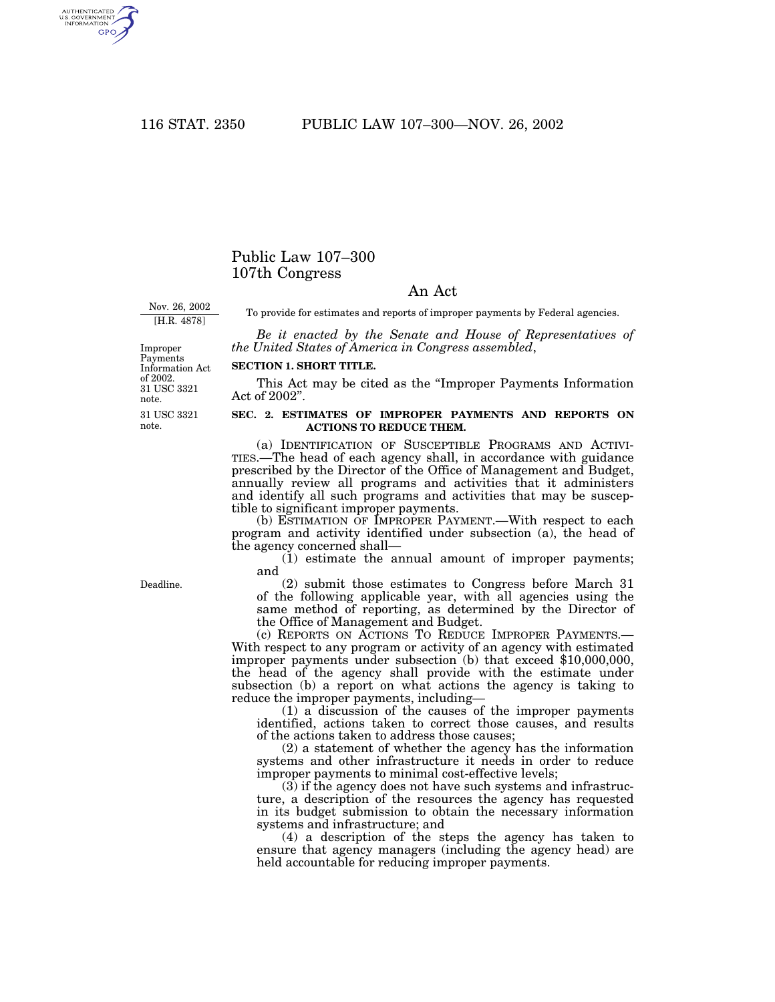AUTHENTICATED<br>U.S. GOVERNMENT<br>INFORMATION GPO

## Public Law 107–300 107th Congress

## An Act

Nov. 26, 2002 [H.R. 4878]

To provide for estimates and reports of improper payments by Federal agencies.

*Be it enacted by the Senate and House of Representatives of the United States of America in Congress assembled*,

## **SECTION 1. SHORT TITLE.**

This Act may be cited as the ''Improper Payments Information Act of 2002''.

## **SEC. 2. ESTIMATES OF IMPROPER PAYMENTS AND REPORTS ON ACTIONS TO REDUCE THEM.**

(a) IDENTIFICATION OF SUSCEPTIBLE PROGRAMS AND ACTIVI- TIES.—The head of each agency shall, in accordance with guidance prescribed by the Director of the Office of Management and Budget, annually review all programs and activities that it administers and identify all such programs and activities that may be susceptible to significant improper payments.

(b) ESTIMATION OF IMPROPER PAYMENT.—With respect to each program and activity identified under subsection (a), the head of the agency concerned shall—

(1) estimate the annual amount of improper payments; and

(2) submit those estimates to Congress before March 31 of the following applicable year, with all agencies using the same method of reporting, as determined by the Director of the Office of Management and Budget.

(c) REPORTS ON ACTIONS TO REDUCE IMPROPER PAYMENTS.— With respect to any program or activity of an agency with estimated improper payments under subsection (b) that exceed \$10,000,000, the head of the agency shall provide with the estimate under subsection (b) a report on what actions the agency is taking to reduce the improper payments, including—

(1) a discussion of the causes of the improper payments identified, actions taken to correct those causes, and results of the actions taken to address those causes;

(2) a statement of whether the agency has the information systems and other infrastructure it needs in order to reduce improper payments to minimal cost-effective levels;

 $(3)$  if the agency does not have such systems and infrastructure, a description of the resources the agency has requested in its budget submission to obtain the necessary information systems and infrastructure; and

(4) a description of the steps the agency has taken to ensure that agency managers (including the agency head) are held accountable for reducing improper payments.

Deadline.

31 USC 3321 Improper Payments Information Act of 2002.

31 USC 3321 note.

note.